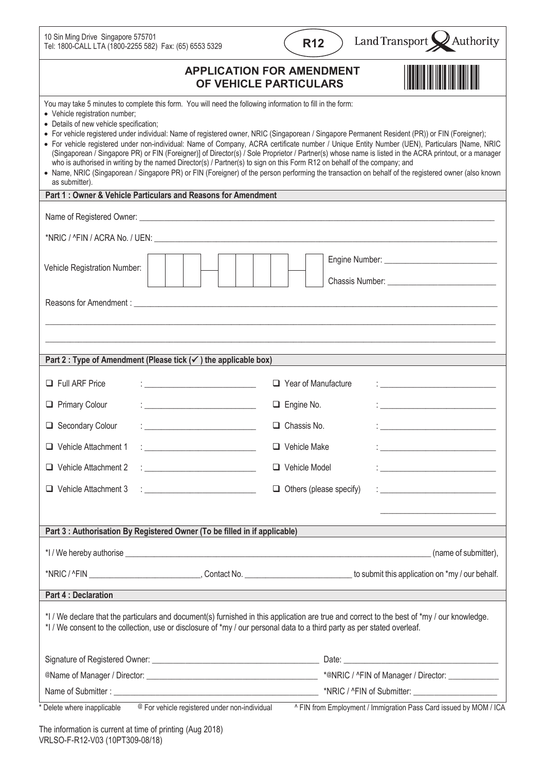| 10 Sin Ming Drive Singapore 575701<br>Tel: 1800-CALL LTA (1800-2255 582) Fax: (65) 6553 5329                                                                                                                                                                                                                                                                                                                                                                                                                                                                                                                                                                                                                                                                                                                                                                                                                                                                | Land Transport X Authority<br><b>R12</b>                                                                                                  |
|-------------------------------------------------------------------------------------------------------------------------------------------------------------------------------------------------------------------------------------------------------------------------------------------------------------------------------------------------------------------------------------------------------------------------------------------------------------------------------------------------------------------------------------------------------------------------------------------------------------------------------------------------------------------------------------------------------------------------------------------------------------------------------------------------------------------------------------------------------------------------------------------------------------------------------------------------------------|-------------------------------------------------------------------------------------------------------------------------------------------|
| <b>APPLICATION FOR AMENDMENT</b><br>OF VEHICLE PARTICULARS                                                                                                                                                                                                                                                                                                                                                                                                                                                                                                                                                                                                                                                                                                                                                                                                                                                                                                  |                                                                                                                                           |
| You may take 5 minutes to complete this form. You will need the following information to fill in the form:<br>• Vehicle registration number;<br>• Details of new vehicle specification;<br>• For vehicle registered under individual: Name of registered owner, NRIC (Singaporean / Singapore Permanent Resident (PR)) or FIN (Foreigner);<br>• For vehicle registered under non-individual: Name of Company, ACRA certificate number / Unique Entity Number (UEN), Particulars [Name, NRIC<br>(Singaporean / Singapore PR) or FIN (Foreigner)] of Director(s) / Sole Proprietor / Partner(s) whose name is listed in the ACRA printout, or a manager<br>who is authorised in writing by the named Director(s) / Partner(s) to sign on this Form R12 on behalf of the company; and<br>• Name, NRIC (Singaporean / Singapore PR) or FIN (Foreigner) of the person performing the transaction on behalf of the registered owner (also known<br>as submitter). |                                                                                                                                           |
| Part 1 : Owner & Vehicle Particulars and Reasons for Amendment                                                                                                                                                                                                                                                                                                                                                                                                                                                                                                                                                                                                                                                                                                                                                                                                                                                                                              |                                                                                                                                           |
|                                                                                                                                                                                                                                                                                                                                                                                                                                                                                                                                                                                                                                                                                                                                                                                                                                                                                                                                                             |                                                                                                                                           |
|                                                                                                                                                                                                                                                                                                                                                                                                                                                                                                                                                                                                                                                                                                                                                                                                                                                                                                                                                             |                                                                                                                                           |
| Vehicle Registration Number:                                                                                                                                                                                                                                                                                                                                                                                                                                                                                                                                                                                                                                                                                                                                                                                                                                                                                                                                |                                                                                                                                           |
|                                                                                                                                                                                                                                                                                                                                                                                                                                                                                                                                                                                                                                                                                                                                                                                                                                                                                                                                                             |                                                                                                                                           |
|                                                                                                                                                                                                                                                                                                                                                                                                                                                                                                                                                                                                                                                                                                                                                                                                                                                                                                                                                             |                                                                                                                                           |
|                                                                                                                                                                                                                                                                                                                                                                                                                                                                                                                                                                                                                                                                                                                                                                                                                                                                                                                                                             |                                                                                                                                           |
| Part 2 : Type of Amendment (Please tick $(\checkmark)$ ) the applicable box)                                                                                                                                                                                                                                                                                                                                                                                                                                                                                                                                                                                                                                                                                                                                                                                                                                                                                |                                                                                                                                           |
| $\Box$ Full ARF Price                                                                                                                                                                                                                                                                                                                                                                                                                                                                                                                                                                                                                                                                                                                                                                                                                                                                                                                                       | $\Box$ Year of Manufacture                                                                                                                |
| Primary Colour                                                                                                                                                                                                                                                                                                                                                                                                                                                                                                                                                                                                                                                                                                                                                                                                                                                                                                                                              | $\Box$ Engine No.<br><u> 1989 - Johann Barn, mars eta bat erroman erroman erroman erroman erroman erroman erroman erroman erroman err</u> |
| Secondary Colour                                                                                                                                                                                                                                                                                                                                                                                                                                                                                                                                                                                                                                                                                                                                                                                                                                                                                                                                            | $\Box$ Chassis No.                                                                                                                        |
| $\Box$ Vehicle Attachment 1<br>$\frac{1}{2}$ . The contract of the contract of the contract of the contract of the contract of the contract of the contract of the contract of the contract of the contract of the contract of the contract of the contract of t                                                                                                                                                                                                                                                                                                                                                                                                                                                                                                                                                                                                                                                                                            | $\Box$ Vehicle Make<br><u> 1990 - Johann John Stone, mars et al. (</u>                                                                    |
| $\Box$ Vehicle Attachment 2<br><u>: ___________________________</u>                                                                                                                                                                                                                                                                                                                                                                                                                                                                                                                                                                                                                                                                                                                                                                                                                                                                                         | Vehicle Model                                                                                                                             |
| $\Box$ Vehicle Attachment 3<br><u> 1999 - Johann Barn, mars ann an t-</u>                                                                                                                                                                                                                                                                                                                                                                                                                                                                                                                                                                                                                                                                                                                                                                                                                                                                                   | $\Box$ Others (please specify)                                                                                                            |
|                                                                                                                                                                                                                                                                                                                                                                                                                                                                                                                                                                                                                                                                                                                                                                                                                                                                                                                                                             |                                                                                                                                           |
| Part 3 : Authorisation By Registered Owner (To be filled in if applicable)                                                                                                                                                                                                                                                                                                                                                                                                                                                                                                                                                                                                                                                                                                                                                                                                                                                                                  |                                                                                                                                           |
|                                                                                                                                                                                                                                                                                                                                                                                                                                                                                                                                                                                                                                                                                                                                                                                                                                                                                                                                                             | (name of submitter),                                                                                                                      |
|                                                                                                                                                                                                                                                                                                                                                                                                                                                                                                                                                                                                                                                                                                                                                                                                                                                                                                                                                             |                                                                                                                                           |
| <b>Part 4: Declaration</b>                                                                                                                                                                                                                                                                                                                                                                                                                                                                                                                                                                                                                                                                                                                                                                                                                                                                                                                                  |                                                                                                                                           |
| *I / We declare that the particulars and document(s) furnished in this application are true and correct to the best of *my / our knowledge.<br>*I / We consent to the collection, use or disclosure of *my / our personal data to a third party as per stated overleaf.                                                                                                                                                                                                                                                                                                                                                                                                                                                                                                                                                                                                                                                                                     |                                                                                                                                           |
|                                                                                                                                                                                                                                                                                                                                                                                                                                                                                                                                                                                                                                                                                                                                                                                                                                                                                                                                                             |                                                                                                                                           |
|                                                                                                                                                                                                                                                                                                                                                                                                                                                                                                                                                                                                                                                                                                                                                                                                                                                                                                                                                             |                                                                                                                                           |
|                                                                                                                                                                                                                                                                                                                                                                                                                                                                                                                                                                                                                                                                                                                                                                                                                                                                                                                                                             |                                                                                                                                           |
| ^ FIN from Employment / Immigration Pass Card issued by MOM / ICA<br>Delete where inapplicable<br>@ For vehicle registered under non-individual                                                                                                                                                                                                                                                                                                                                                                                                                                                                                                                                                                                                                                                                                                                                                                                                             |                                                                                                                                           |